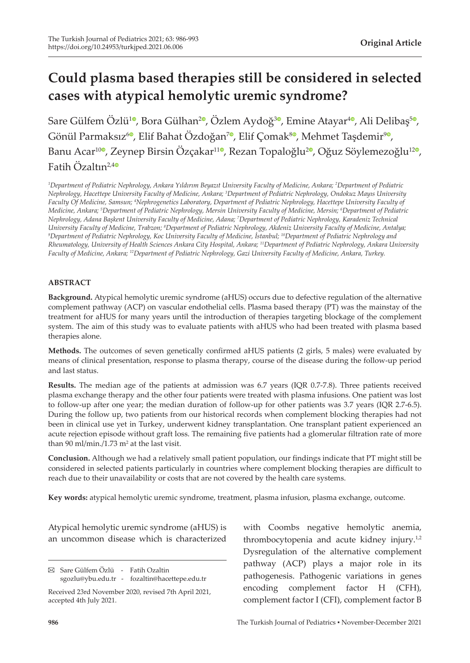# **Could plasma based therapies still be considered in selected cases with atypical hemolytic uremic syndrome?**

Sare Gülfem Özlü<sup>[1](https://orcid.org/0000-0002-9609-1511)0</sup>, Bora Gülhan<sup>[2](https://orcid.org/0000-0003-0236-5786)0</sup>[,](https://orcid.org/0000-0002-2157-7226) Özlem Aydoğ<sup>30</sup>, Emine Atayar<sup>[4](https://orcid.org/0000-0003-1875-2895)0</sup>, Ali Delibaş<sup>[5](https://orcid.org/0000-0002-1469-9276)0</sup>, Gönül Parmaksız<sup>6</sup>[,](https://orcid.org/0000-0002-5579-6339) Elif Bahat Özdoğan<sup>7</sup>, Elif Çomak<sup>80</sup>, Mehmet Taşdemir<sup>90</sup>, Banu Acar<sup>1[0](https://orcid.org/0000-0002-1808-3655)</sup>, Zeynep Birsin Özçakar<sup>[1](https://orcid.org/0000-0002-6376-9189)1</sup>, Rezan Topaloğlu<sup>[2](https://orcid.org/0000-0002-9861-884X)</sup>, Oğuz Söylemezoğlu<sup>12</sup>, Fatih Özaltın<sup>2,[4](https://orcid.org/0000-0003-1194-0164)0</sup>

*1 Department of Pediatric Nephrology, Ankara Yıldırım Beyazıt University Faculty of Medicine, Ankara; 2 Department of Pediatric Nephrology, Hacettepe University Faculty of Medicine, Ankara; 3 Department of Pediatric Nephrology, Ondokuz Mayıs University Faculty Of Medicine, Samsun; 4 Nephrogenetics Laboratory, Department of Pediatric Nephrology, Hacettepe University Faculty of Medicine, Ankara; 5 Department of Pediatric Nephrology, Mersin University Faculty of Medicine, Mersin; 6 Department of Pediatric Nephrology, Adana Başkent University Faculty of Medicine, Adana; 7 Department of Pediatric Nephrology, Karadeniz Technical*  University Faculty of Medicine, Trabzon; <sup>8</sup>Department of Pediatric Nephrology, Akdeniz University Faculty of Medicine, Antalya;<br><sup>9</sup>Department of Pediatric Nephrology, Koc University Faculty of Medicine, İstanbul<sup>, 10</sup>Depa *Department of Pediatric Nephrology, Koc University Faculty of Medicine, İstanbul; 10Department of Pediatric Nephrology and Rheumatology, University of Health Sciences Ankara City Hospital, Ankara; 11Department of Pediatric Nephrology, Ankara University Faculty of Medicine, Ankara; 12Department of Pediatric Nephrology, Gazi University Faculty of Medicine, Ankara, Turkey.*

#### **ABSTRACT**

**Background.** Atypical hemolytic uremic syndrome (aHUS) occurs due to defective regulation of the alternative complement pathway (ACP) on vascular endothelial cells. Plasma based therapy (PT) was the mainstay of the treatment for aHUS for many years until the introduction of therapies targeting blockage of the complement system. The aim of this study was to evaluate patients with aHUS who had been treated with plasma based therapies alone.

**Methods.** The outcomes of seven genetically confirmed aHUS patients (2 girls, 5 males) were evaluated by means of clinical presentation, response to plasma therapy, course of the disease during the follow-up period and last status.

**Results.** The median age of the patients at admission was 6.7 years (IQR 0.7-7.8). Three patients received plasma exchange therapy and the other four patients were treated with plasma infusions. One patient was lost to follow-up after one year; the median duration of follow-up for other patients was 3.7 years (IQR 2.7-6.5). During the follow up, two patients from our historical records when complement blocking therapies had not been in clinical use yet in Turkey, underwent kidney transplantation. One transplant patient experienced an acute rejection episode without graft loss. The remaining five patients had a glomerular filtration rate of more than  $90$  ml/min./1.73 m<sup>2</sup> at the last visit.

**Conclusion.** Although we had a relatively small patient population, our findings indicate that PT might still be considered in selected patients particularly in countries where complement blocking therapies are difficult to reach due to their unavailability or costs that are not covered by the health care systems.

**Key words:** atypical hemolytic uremic syndrome, treatment, plasma infusion, plasma exchange, outcome.

Atypical hemolytic uremic syndrome (aHUS) is an uncommon disease which is characterized

with Coombs negative hemolytic anemia, thrombocytopenia and acute kidney injury.<sup>1,2</sup> Dysregulation of the alternative complement pathway (ACP) plays a major role in its pathogenesis. Pathogenic variations in genes encoding complement factor H (CFH), complement factor I (CFI), complement factor B

Sare Gülfem Özlü - Fatih Ozaltin sgozlu@ybu.edu.tr - fozaltin@hacettepe.edu.tr

Received 23rd November 2020, revised 7th April 2021, accepted 4th July 2021.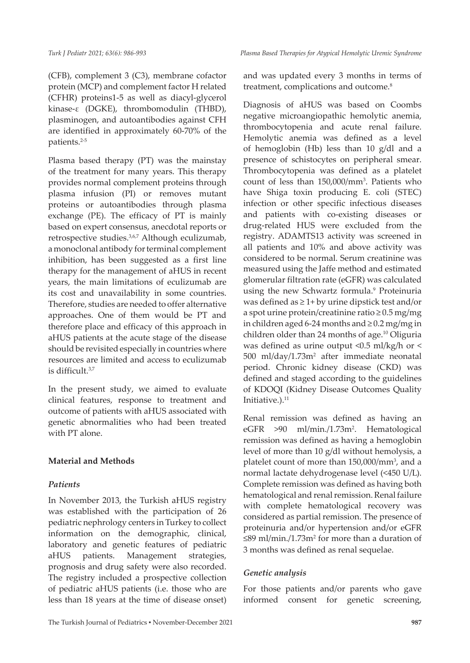(CFB), complement 3 (C3), membrane cofactor protein (MCP) and complement factor H related (CFHR) proteins1-5 as well as diacyl-glycerol kinase-ε (DGKE), thrombomodulin (THBD), plasminogen, and autoantibodies against CFH are identified in approximately 60-70% of the patients.2-5

Plasma based therapy (PT) was the mainstay of the treatment for many years. This therapy provides normal complement proteins through plasma infusion (PI) or removes mutant proteins or autoantibodies through plasma exchange (PE). The efficacy of PT is mainly based on expert consensus, anecdotal reports or retrospective studies.<sup>3,6,7</sup> Although eculizumab, a monoclonal antibody for terminal complement inhibition, has been suggested as a first line therapy for the management of aHUS in recent years, the main limitations of eculizumab are its cost and unavailability in some countries. Therefore, studies are needed to offer alternative approaches. One of them would be PT and therefore place and efficacy of this approach in aHUS patients at the acute stage of the disease should be revisited especially in countries where resources are limited and access to eculizumab is difficult.3,7

In the present study, we aimed to evaluate clinical features, response to treatment and outcome of patients with aHUS associated with genetic abnormalities who had been treated with PT alone.

## **Material and Methods**

## *Patients*

In November 2013, the Turkish aHUS registry was established with the participation of 26 pediatric nephrology centers in Turkey to collect information on the demographic, clinical, laboratory and genetic features of pediatric aHUS patients. Management strategies, prognosis and drug safety were also recorded. The registry included a prospective collection of pediatric aHUS patients (i.e. those who are less than 18 years at the time of disease onset) and was updated every 3 months in terms of treatment, complications and outcome.<sup>8</sup>

Diagnosis of aHUS was based on Coombs negative microangiopathic hemolytic anemia, thrombocytopenia and acute renal failure. Hemolytic anemia was defined as a level of hemoglobin (Hb) less than 10 g/dl and a presence of schistocytes on peripheral smear. Thrombocytopenia was defined as a platelet count of less than 150,000/mm<sup>3</sup> . Patients who have Shiga toxin producing E. coli (STEC) infection or other specific infectious diseases and patients with co-existing diseases or drug-related HUS were excluded from the registry. ADAMTS13 activity was screened in all patients and 10% and above activity was considered to be normal. Serum creatinine was measured using the Jaffe method and estimated glomerular filtration rate (eGFR) was calculated using the new Schwartz formula.<sup>9</sup> Proteinuria was defined as ≥ 1+ by urine dipstick test and/or a spot urine protein/creatinine ratio ≥ 0.5 mg/mg in children aged 6-24 months and ≥ 0.2 mg/mg in children older than 24 months of age.<sup>10</sup> Oliguria was defined as urine output <0.5 ml/kg/h or < 500 ml/day/1.73m<sup>2</sup> after immediate neonatal period. Chronic kidney disease (CKD) was defined and staged according to the guidelines of KDOQI (Kidney Disease Outcomes Quality Initiative.).<sup>11</sup>

Renal remission was defined as having an eGFR  $>90$  ml/min./1.73m<sup>2</sup>. Hematological remission was defined as having a hemoglobin level of more than 10 g/dl without hemolysis, a platelet count of more than 150,000/mm<sup>3</sup>, and a normal lactate dehydrogenase level (<450 U/L). Complete remission was defined as having both hematological and renal remission. Renal failure with complete hematological recovery was considered as partial remission. The presence of proteinuria and/or hypertension and/or eGFR ≤89 ml/min./1.73m<sup>2</sup> for more than a duration of 3 months was defined as renal sequelae.

## *Genetic analysis*

For those patients and/or parents who gave informed consent for genetic screening,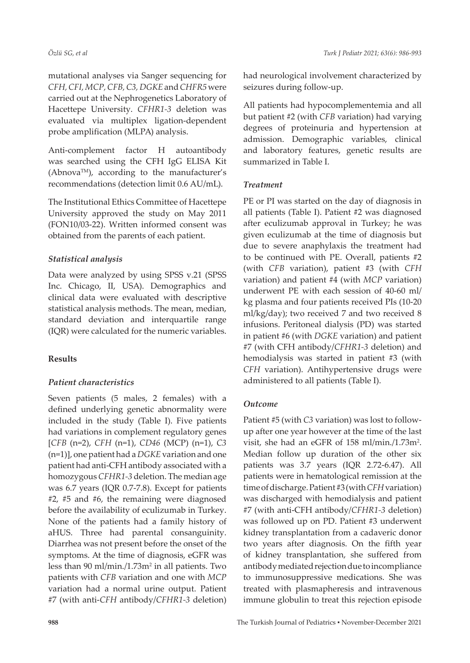mutational analyses via Sanger sequencing for *CFH, CFI, MCP, CFB, C3, DGKE* and *CHFR5* were carried out at the Nephrogenetics Laboratory of Hacettepe University. *CFHR1-3* deletion was evaluated via multiplex ligation-dependent probe amplification (MLPA) analysis.

Anti-complement factor H autoantibody was searched using the CFH IgG ELISA Kit (AbnovaTM), according to the manufacturer's recommendations (detection limit 0.6 AU/mL).

The Institutional Ethics Committee of Hacettepe University approved the study on May 2011 (FON10/03-22). Written informed consent was obtained from the parents of each patient.

## *Statistical analysis*

Data were analyzed by using SPSS v.21 (SPSS Inc. Chicago, II, USA). Demographics and clinical data were evaluated with descriptive statistical analysis methods. The mean, median, standard deviation and interquartile range (IQR) were calculated for the numeric variables.

## **Results**

## *Patient characteristics*

Seven patients (5 males, 2 females) with a defined underlying genetic abnormality were included in the study (Table I). Five patients had variations in complement regulatory genes [*CFB* (n=2), *CFH* (n=1), *CD46* (MCP) (n=1), *C3* (n=1)], one patient had a *DGKE* variation and one patient had anti-CFH antibody associated with a homozygous *CFHR1-3* deletion. The median age was 6.7 years (IQR 0.7-7.8). Except for patients #2, #5 and #6, the remaining were diagnosed before the availability of eculizumab in Turkey. None of the patients had a family history of aHUS. Three had parental consanguinity. Diarrhea was not present before the onset of the symptoms. At the time of diagnosis, eGFR was less than 90 ml/min./1.73m<sup>2</sup> in all patients. Two patients with *CFB* variation and one with *MCP* variation had a normal urine output. Patient #7 (with anti-*CFH* antibody/*CFHR1-3* deletion)

had neurological involvement characterized by seizures during follow-up.

All patients had hypocomplementemia and all but patient #2 (with *CFB* variation) had varying degrees of proteinuria and hypertension at admission. Demographic variables, clinical and laboratory features, genetic results are summarized in Table I.

## *Treatment*

PE or PI was started on the day of diagnosis in all patients (Table I). Patient #2 was diagnosed after eculizumab approval in Turkey; he was given eculizumab at the time of diagnosis but due to severe anaphylaxis the treatment had to be continued with PE. Overall, patients #2 (with *CFB* variation), patient #3 (with *CFH* variation) and patient #4 (with *MCP* variation) underwent PE with each session of 40-60 ml/ kg plasma and four patients received PIs (10-20 ml/kg/day); two received 7 and two received 8 infusions. Peritoneal dialysis (PD) was started in patient #6 (with *DGKE* variation) and patient #7 (with CFH antibody/*CFHR1-3* deletion) and hemodialysis was started in patient #3 (with *CFH* variation). Antihypertensive drugs were administered to all patients (Table I).

## *Outcome*

Patient #5 (with *C3* variation) was lost to followup after one year however at the time of the last visit, she had an eGFR of 158 ml/min./1.73m<sup>2</sup>. Median follow up duration of the other six patients was 3.7 years (IQR 2.72-6.47). All patients were in hematological remission at the time of discharge. Patient #3 (with *CFH* variation) was discharged with hemodialysis and patient #7 (with anti-CFH antibody/*CFHR1-3* deletion) was followed up on PD. Patient #3 underwent kidney transplantation from a cadaveric donor two years after diagnosis. On the fifth year of kidney transplantation, she suffered from antibody mediated rejection due to incompliance to immunosuppressive medications. She was treated with plasmapheresis and intravenous immune globulin to treat this rejection episode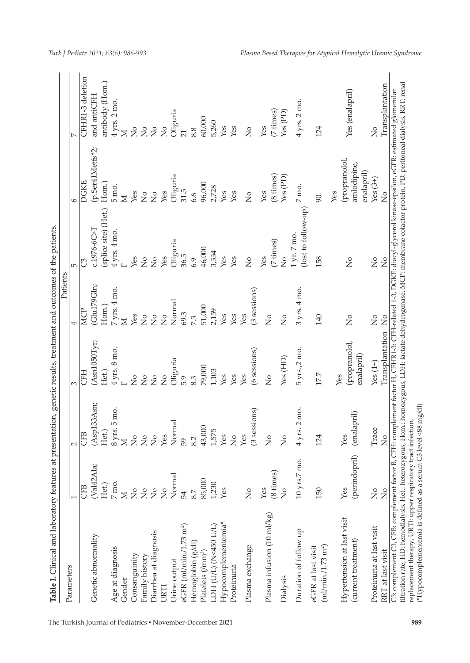| Table I. Clinical and laboratory features at presentation, genetic results, treatment and outcomes of the patients                                                                                                                                                                                                                                                                                           |                                       |                                 |                                    | Patients            |                                    |                                                   |                                |
|--------------------------------------------------------------------------------------------------------------------------------------------------------------------------------------------------------------------------------------------------------------------------------------------------------------------------------------------------------------------------------------------------------------|---------------------------------------|---------------------------------|------------------------------------|---------------------|------------------------------------|---------------------------------------------------|--------------------------------|
| Parameters                                                                                                                                                                                                                                                                                                                                                                                                   |                                       | $\sim$                          |                                    |                     | $\overline{5}$                     |                                                   |                                |
|                                                                                                                                                                                                                                                                                                                                                                                                              | <b>CFB</b>                            | CFB                             | <b>CFH</b>                         | <b>MCP</b>          |                                    | <b>DGKE</b>                                       | CFHR1-3 deletion               |
| Genetic abnormality                                                                                                                                                                                                                                                                                                                                                                                          | (Val42Ala;                            | (Asp133Asn;                     | (Asn1050Tyr;                       | (Glu179Gln;         | $C.1976-6C > T$                    | (p.Ser41Metfs*2;                                  | and antiCFH                    |
|                                                                                                                                                                                                                                                                                                                                                                                                              | Het.)                                 | Het.)                           | Het.)                              | Hom.)               | (splice site) (Het.)               | Hom.)                                             | antibody (Hom.)                |
| Age at diagnosis                                                                                                                                                                                                                                                                                                                                                                                             | $7\,\mathrm{mo}.$                     | 8 yrs. 5 mo.                    | 4 yrs. 8 mo.                       | 7 yrs. 4 mo.        | 4 yrs. 4 mo.                       | 5 mo.                                             | 4 yrs. 2 mo.                   |
| Gender                                                                                                                                                                                                                                                                                                                                                                                                       | $\geq$                                | $\geq$                          | $\mathbf{r}$                       | $\geq$              |                                    | $\geq$                                            | $\overline{\mathsf{z}}$        |
| Consanguinity                                                                                                                                                                                                                                                                                                                                                                                                | $\frac{1}{2}$                         | $\stackrel{\circ}{\simeq}$      | $\frac{1}{2}$                      | Yes                 | Yes                                | Yes                                               | $\frac{1}{2}$                  |
| Family history                                                                                                                                                                                                                                                                                                                                                                                               | $\frac{1}{2}$                         | $\stackrel{\circ}{\mathbf{Z}}$  | $\overline{a}$                     | $\frac{1}{2}$       | $\frac{1}{2}$                      | $\overline{\widetilde{z}}$                        | $\overline{S}$                 |
| Diarrhea at diagnosis                                                                                                                                                                                                                                                                                                                                                                                        | $\stackrel{\mathtt{o}}{\mathsf{z}}$   | $\stackrel{\circ}{\mathcal{Z}}$ | $\overline{S}$                     | $\frac{1}{2}$       | $\frac{1}{2}$                      | $\frac{1}{2}$                                     | $\frac{1}{2}$                  |
| URTI                                                                                                                                                                                                                                                                                                                                                                                                         | $\stackrel{\circ}{\phantom{}_{\sim}}$ | $\operatorname{\mathsf{Yes}}$   | $\frac{1}{2}$                      | $\frac{1}{2}$       | Yes                                | Yes                                               | $\frac{1}{2}$                  |
| Urine output                                                                                                                                                                                                                                                                                                                                                                                                 | Normal                                | Normal                          | Oliguria                           | Normal              | Oliguria<br>36.5                   | Oliguria<br>31.5                                  | Oliguria                       |
| eGFR $(m/mm, 7.73 m2)$                                                                                                                                                                                                                                                                                                                                                                                       | 54                                    | 59                              | 5.9                                | 69.3                |                                    |                                                   | 21                             |
| Hemoglobin (g/dl)                                                                                                                                                                                                                                                                                                                                                                                            | 8.7                                   | 8.2                             | 8.3                                | 7.3                 | 6.9                                | 6.6                                               | 8.8                            |
| Platelets (/mm <sup>3</sup> )                                                                                                                                                                                                                                                                                                                                                                                | 85,000                                | 43,000                          | 79,000                             | 51,000              | 46,000                             | 96,000                                            | 60,000                         |
| LDH (U/L) (N<450 U/L)                                                                                                                                                                                                                                                                                                                                                                                        | 1,230                                 | 1,575                           | 1,103                              | 2,159               | 3,334                              | 2,728                                             | 5,260                          |
| Hypocomplementemia*                                                                                                                                                                                                                                                                                                                                                                                          | Yes                                   | Yes                             | Yes                                | Yes                 | Yes                                | Yes                                               | Yes                            |
| Proteinuria                                                                                                                                                                                                                                                                                                                                                                                                  |                                       | $\stackrel{\circ}{\mathsf{Z}}$  | Yes                                | Yes                 | Yes                                | Yes                                               | Yes                            |
| Plasma exchange                                                                                                                                                                                                                                                                                                                                                                                              | $\frac{1}{2}$                         | (3 sessions)<br>Yes             | (6 sessions)<br>Yes                | (3 sessions)<br>Yes | $\frac{1}{2}$                      | $\frac{1}{2}$                                     | $\frac{1}{2}$                  |
| Plasma infusion (10 ml/kg)                                                                                                                                                                                                                                                                                                                                                                                   | (8 times)<br>Yes                      | $\frac{1}{2}$                   | $\frac{1}{2}$                      | $\frac{1}{2}$       | (7 times)<br>Yes                   | $(8 \times)$<br>Yes                               | $(7 \; \mathrm{times})$<br>Yes |
| Dialysis                                                                                                                                                                                                                                                                                                                                                                                                     | $\frac{1}{2}$                         | $\frac{1}{2}$                   | Yes (HD)                           | $\frac{1}{2}$       | $\frac{1}{2}$                      | $\mathsf{Yes}\left(\mathsf{PD}\right)$            | Yes (PD)                       |
| Duration of follow up                                                                                                                                                                                                                                                                                                                                                                                        | 10 yrs.7 mo.                          | 4 yrs. 2 mo.                    | 5 yrs.,2 mo.                       | 3 yrs. 4 mo.        | (lost to follow-up)<br>1 yr. 7 mo. | 7 mo.                                             | 4 yrs. 2 mo.                   |
| eGFR at last visit<br>(m1/min. / 1.73 m <sup>2</sup> )                                                                                                                                                                                                                                                                                                                                                       | 150                                   | 124                             | 177                                | 140                 | 158                                | $\infty$                                          | 124                            |
| Hypertension at last visit<br>(current treatment)                                                                                                                                                                                                                                                                                                                                                            | (perindopril)<br>Yes                  | (enalapril)<br>Yes              | (propranolol,<br>enalapril)<br>Yes | $\frac{1}{2}$       | $\frac{1}{2}$                      | (propranolol,<br>amlodipine,<br>enalapril)<br>Yes | Yes (enalapril)                |
| Proteinuria at last visit                                                                                                                                                                                                                                                                                                                                                                                    | $\frac{1}{2}$                         | Trace                           | $Yes(1+)$                          | $\frac{1}{2}$       | $\frac{1}{2}$                      | $Yes(3+)$                                         | $\frac{1}{2}$                  |
| RRT at last visit                                                                                                                                                                                                                                                                                                                                                                                            | $\frac{1}{2}$                         | $\frac{1}{2}$                   | Transplantation                    | $\frac{1}{2}$       | $\frac{1}{2}$                      | $\frac{1}{2}$                                     | Transplantation                |
| filtration rate, HD: hemodialysis, Het: heterozygous, Hom: homozygous, LDH: lactate dehydrogenase, MCP: membrane cofactor protein, PD: peritoneal dialysis, RRT: renal<br>C3: complement C3, CFB: complement factor B, CFH: complement factor H, CFHR1-3: CFH-related 1-3, DGKE: diacyl-glycerol kinase-epsilon, eGFR: estimated glomerular<br>replacement therapy, URTI: upper respiratory tract infection. |                                       |                                 |                                    |                     |                                    |                                                   |                                |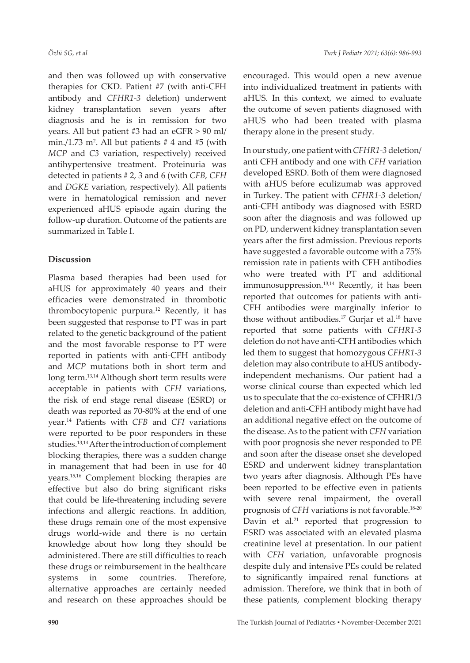and then was followed up with conservative therapies for CKD. Patient #7 (with anti-CFH antibody and *CFHR1-3* deletion) underwent kidney transplantation seven years after diagnosis and he is in remission for two years. All but patient #3 had an eGFR > 90 ml/ min./1.73 m². All but patients  $\#$  4 and  $\#$ 5 (with *MCP* and *C3* variation, respectively) received antihypertensive treatment. Proteinuria was detected in patients # 2, 3 and 6 (with *CFB, CFH* and *DGKE* variation, respectively). All patients were in hematological remission and never experienced aHUS episode again during the follow-up duration. Outcome of the patients are summarized in Table I.

#### **Discussion**

Plasma based therapies had been used for aHUS for approximately 40 years and their efficacies were demonstrated in thrombotic thrombocytopenic purpura.12 Recently, it has been suggested that response to PT was in part related to the genetic background of the patient and the most favorable response to PT were reported in patients with anti-CFH antibody and *MCP* mutations both in short term and long term.13,14 Although short term results were acceptable in patients with *CFH* variations, the risk of end stage renal disease (ESRD) or death was reported as 70-80% at the end of one year.14 Patients with *CFB* and *CFI* variations were reported to be poor responders in these studies.<sup>13,14</sup> After the introduction of complement blocking therapies, there was a sudden change in management that had been in use for 40 years.15,16 Complement blocking therapies are effective but also do bring significant risks that could be life-threatening including severe infections and allergic reactions. In addition, these drugs remain one of the most expensive drugs world-wide and there is no certain knowledge about how long they should be administered. There are still difficulties to reach these drugs or reimbursement in the healthcare systems in some countries. Therefore, alternative approaches are certainly needed and research on these approaches should be

encouraged. This would open a new avenue into individualized treatment in patients with aHUS. In this context, we aimed to evaluate the outcome of seven patients diagnosed with aHUS who had been treated with plasma therapy alone in the present study.

In our study, one patient with *CFHR1-3* deletion/ anti CFH antibody and one with *CFH* variation developed ESRD. Both of them were diagnosed with aHUS before eculizumab was approved in Turkey. The patient with *CFHR1-3* deletion/ anti-CFH antibody was diagnosed with ESRD soon after the diagnosis and was followed up on PD, underwent kidney transplantation seven years after the first admission. Previous reports have suggested a favorable outcome with a 75% remission rate in patients with CFH antibodies who were treated with PT and additional immunosuppression.<sup>13,14</sup> Recently, it has been reported that outcomes for patients with anti-CFH antibodies were marginally inferior to those without antibodies.<sup>17</sup> Gurjar et al.<sup>18</sup> have reported that some patients with *CFHR1-3* deletion do not have anti-CFH antibodies which led them to suggest that homozygous *CFHR1-3* deletion may also contribute to aHUS antibodyindependent mechanisms. Our patient had a worse clinical course than expected which led us to speculate that the co-existence of CFHR1/3 deletion and anti-CFH antibody might have had an additional negative effect on the outcome of the disease. As to the patient with *CFH* variation with poor prognosis she never responded to PE and soon after the disease onset she developed ESRD and underwent kidney transplantation two years after diagnosis. Although PEs have been reported to be effective even in patients with severe renal impairment, the overall prognosis of *CFH* variations is not favorable.18-20 Davin et al.<sup>21</sup> reported that progression to ESRD was associated with an elevated plasma creatinine level at presentation. In our patient with *CFH* variation, unfavorable prognosis despite duly and intensive PEs could be related to significantly impaired renal functions at admission. Therefore, we think that in both of these patients, complement blocking therapy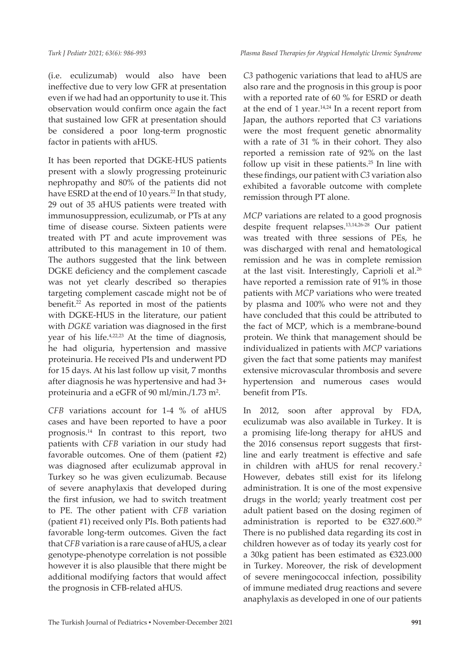*Plasma Based Therapies for Atypical Hemolytic Uremic Syndrome*

(i.e. eculizumab) would also have been ineffective due to very low GFR at presentation even if we had had an opportunity to use it. This observation would confirm once again the fact that sustained low GFR at presentation should be considered a poor long-term prognostic factor in patients with aHUS.

It has been reported that DGKE-HUS patients present with a slowly progressing proteinuric nephropathy and 80% of the patients did not have ESRD at the end of 10 years.<sup>22</sup> In that study, 29 out of 35 aHUS patients were treated with immunosuppression, eculizumab, or PTs at any time of disease course. Sixteen patients were treated with PT and acute improvement was attributed to this management in 10 of them. The authors suggested that the link between DGKE deficiency and the complement cascade was not yet clearly described so therapies targeting complement cascade might not be of benefit.22 As reported in most of the patients with DGKE-HUS in the literature, our patient with *DGKE* variation was diagnosed in the first year of his life.4,22,23 At the time of diagnosis, he had oliguria, hypertension and massive proteinuria. He received PIs and underwent PD for 15 days. At his last follow up visit, 7 months after diagnosis he was hypertensive and had 3+ proteinuria and a eGFR of 90 ml/min./1.73 m².

*CFB* variations account for 1-4 % of aHUS cases and have been reported to have a poor prognosis.14 In contrast to this report, two patients with *CFB* variation in our study had favorable outcomes. One of them (patient #2) was diagnosed after eculizumab approval in Turkey so he was given eculizumab. Because of severe anaphylaxis that developed during the first infusion, we had to switch treatment to PE. The other patient with *CFB* variation (patient #1) received only PIs. Both patients had favorable long-term outcomes. Given the fact that *CFB* variation is a rare cause of aHUS, a clear genotype-phenotype correlation is not possible however it is also plausible that there might be additional modifying factors that would affect the prognosis in CFB-related aHUS.

*C3* pathogenic variations that lead to aHUS are also rare and the prognosis in this group is poor with a reported rate of 60 % for ESRD or death at the end of 1 year. $14,24}$  In a recent report from Japan, the authors reported that *C3* variations were the most frequent genetic abnormality with a rate of 31 % in their cohort. They also reported a remission rate of 92% on the last follow up visit in these patients.<sup>25</sup> In line with these findings, our patient with *C3* variation also exhibited a favorable outcome with complete remission through PT alone.

*MCP* variations are related to a good prognosis despite frequent relapses.13,14,26-28 Our patient was treated with three sessions of PEs, he was discharged with renal and hematological remission and he was in complete remission at the last visit. Interestingly, Caprioli et al.26 have reported a remission rate of 91% in those patients with *MCP* variations who were treated by plasma and 100% who were not and they have concluded that this could be attributed to the fact of MCP, which is a membrane-bound protein. We think that management should be individualized in patients with *MCP* variations given the fact that some patients may manifest extensive microvascular thrombosis and severe hypertension and numerous cases would benefit from PTs.

In 2012, soon after approval by FDA, eculizumab was also available in Turkey. It is a promising life-long therapy for aHUS and the 2016 consensus report suggests that firstline and early treatment is effective and safe in children with aHUS for renal recovery.2 However, debates still exist for its lifelong administration. It is one of the most expensive drugs in the world; yearly treatment cost per adult patient based on the dosing regimen of administration is reported to be  $\epsilon$ 327.600.<sup>29</sup> There is no published data regarding its cost in children however as of today its yearly cost for a 30kg patient has been estimated as €323.000 in Turkey. Moreover, the risk of development of severe meningococcal infection, possibility of immune mediated drug reactions and severe anaphylaxis as developed in one of our patients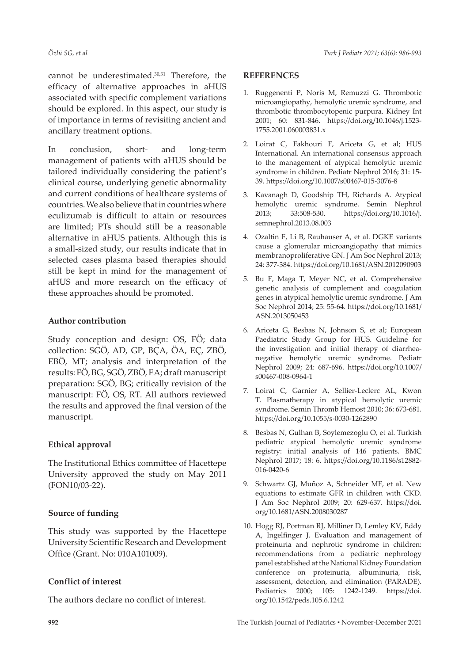cannot be underestimated.<sup>30,31</sup> Therefore, the efficacy of alternative approaches in aHUS associated with specific complement variations should be explored. In this aspect, our study is of importance in terms of revisiting ancient and ancillary treatment options.

In conclusion, short- and long-term management of patients with aHUS should be tailored individually considering the patient's clinical course, underlying genetic abnormality and current conditions of healthcare systems of countries. We also believe that in countries where eculizumab is difficult to attain or resources are limited; PTs should still be a reasonable alternative in aHUS patients. Although this is a small-sized study, our results indicate that in selected cases plasma based therapies should still be kept in mind for the management of aHUS and more research on the efficacy of these approaches should be promoted.

#### **Author contribution**

Study conception and design: OS, FÖ; data collection: SGÖ, AD, GP, BÇA, ÖA, EÇ, ZBÖ, EBÖ, MT; analysis and interpretation of the results: FÖ, BG, SGÖ, ZBÖ, EA; draft manuscript preparation: SGÖ, BG; critically revision of the manuscript: FÖ, OS, RT. All authors reviewed the results and approved the final version of the manuscript.

## **Ethical approval**

The Institutional Ethics committee of Hacettepe University approved the study on May 2011 (FON10/03-22).

## **Source of funding**

This study was supported by the Hacettepe University Scientific Research and Development Office (Grant. No: 010A101009).

## **Conflict of interest**

The authors declare no conflict of interest.

#### **REFERENCES**

- 1. Ruggenenti P, Noris M, Remuzzi G. Thrombotic microangiopathy, hemolytic uremic syndrome, and thrombotic thrombocytopenic purpura. Kidney Int 2001; 60: 831-846. [https://doi.org/10.1046/j.1523-](https://doi.org/10.1046/j.1523-1755.2001.060003831.x) [1755.2001.060003831.x](https://doi.org/10.1046/j.1523-1755.2001.060003831.x)
- 2. Loirat C, Fakhouri F, Ariceta G, et al; HUS International. An international consensus approach to the management of atypical hemolytic uremic syndrome in children. Pediatr Nephrol 2016; 31: 15- 39.<https://doi.org/10.1007/s00467-015-3076-8>
- 3. Kavanagh D, Goodship TH, Richards A. Atypical hemolytic uremic syndrome. Semin Nephrol 2013; 33:508-530. [https://doi.org/10.1016/j.](https://doi.org/10.1016/j.semnephrol.2013.08.003) [semnephrol.2013.08.003](https://doi.org/10.1016/j.semnephrol.2013.08.003)
- 4. Ozaltin F, Li B, Rauhauser A, et al. DGKE variants cause a glomerular microangiopathy that mimics membranoproliferative GN. J Am Soc Nephrol 2013; 24: 377-384. <https://doi.org/10.1681/ASN.2012090903>
- 5. Bu F, Maga T, Meyer NC, et al. Comprehensive genetic analysis of complement and coagulation genes in atypical hemolytic uremic syndrome. J Am Soc Nephrol 2014; 25: 55-64. [https://doi.org/10.1681/](https://doi.org/10.1681/ASN.2013050453) [ASN.2013050453](https://doi.org/10.1681/ASN.2013050453)
- 6. Ariceta G, Besbas N, Johnson S, et al; European Paediatric Study Group for HUS. Guideline for the investigation and initial therapy of diarrheanegative hemolytic uremic syndrome. Pediatr Nephrol 2009; 24: 687-696. [https://doi.org/10.1007/](https://doi.org/10.1007/s00467-008-0964-1) [s00467-008-0964-1](https://doi.org/10.1007/s00467-008-0964-1)
- 7. Loirat C, Garnier A, Sellier-Leclerc AL, Kwon T. Plasmatherapy in atypical hemolytic uremic syndrome. Semin Thromb Hemost 2010; 36: 673-681. <https://doi.org/10.1055/s-0030-1262890>
- 8. Besbas N, Gulhan B, Soylemezoglu O, et al. Turkish pediatric atypical hemolytic uremic syndrome registry: initial analysis of 146 patients. BMC Nephrol 2017; 18: 6. [https://doi.org/10.1186/s12882-](https://doi.org/10.1186/s12882-016-0420-6) [016-0420-6](https://doi.org/10.1186/s12882-016-0420-6)
- 9. Schwartz GJ, Muñoz A, Schneider MF, et al. New equations to estimate GFR in children with CKD. J Am Soc Nephrol 2009; 20: 629-637. [https://doi.](https://doi.org/10.1681/ASN.2008030287) [org/10.1681/ASN.2008030287](https://doi.org/10.1681/ASN.2008030287)
- 10. Hogg RJ, Portman RJ, Milliner D, Lemley KV, Eddy A, Ingelfinger J. Evaluation and management of proteinuria and nephrotic syndrome in children: recommendations from a pediatric nephrology panel established at the National Kidney Foundation conference on proteinuria, albuminuria, risk, assessment, detection, and elimination (PARADE). Pediatrics 2000; 105: 1242-1249. [https://doi.](https://doi.org/10.1542/peds.105.6.1242) [org/10.1542/peds.105.6.1242](https://doi.org/10.1542/peds.105.6.1242)